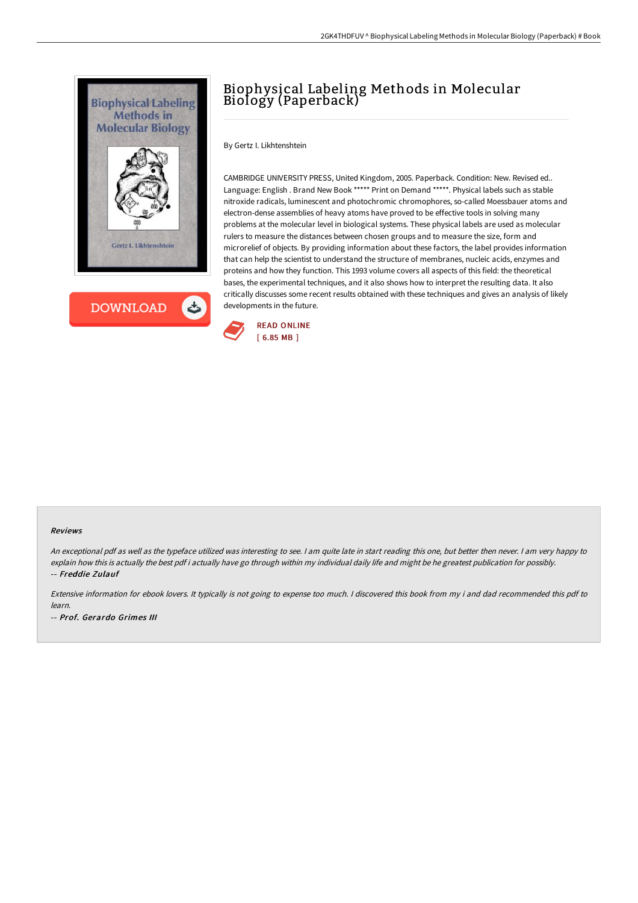



## Biophysical Labeling Methods in Molecular Biology (Paperback)

By Gertz I. Likhtenshtein

CAMBRIDGE UNIVERSITY PRESS, United Kingdom, 2005. Paperback. Condition: New. Revised ed.. Language: English . Brand New Book \*\*\*\*\* Print on Demand \*\*\*\*\*. Physical labels such as stable nitroxide radicals, luminescent and photochromic chromophores, so-called Moessbauer atoms and electron-dense assemblies of heavy atoms have proved to be effective tools in solving many problems at the molecular level in biological systems. These physical labels are used as molecular rulers to measure the distances between chosen groups and to measure the size, form and microrelief of objects. By providing information about these factors, the label provides information that can help the scientist to understand the structure of membranes, nucleic acids, enzymes and proteins and how they function. This 1993 volume covers all aspects of this field: the theoretical bases, the experimental techniques, and it also shows how to interpret the resulting data. It also critically discusses some recent results obtained with these techniques and gives an analysis of likely developments in the future.



## Reviews

-- Prof. Gerardo Grimes III

An exceptional pdf as well as the typeface utilized was interesting to see. I am quite late in start reading this one, but better then never. I am very happy to explain how this is actually the best pdf i actually have go through within my individual daily life and might be he greatest publication for possibly. -- Freddie Zulauf

Extensive information for ebook lovers. It typically is not going to expense too much. <sup>I</sup> discovered this book from my i and dad recommended this pdf to learn.